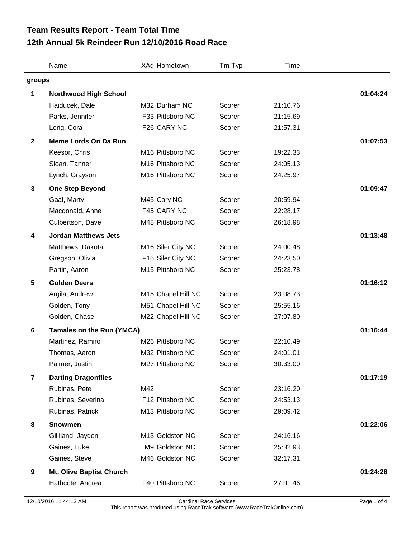## **12th Annual 5k Reindeer Run 12/10/2016 Road Race Team Results Report - Team Total Time**

|                | Name                             | XAg Hometown                 | Tm Typ | Time     |          |
|----------------|----------------------------------|------------------------------|--------|----------|----------|
| groups         |                                  |                              |        |          |          |
| 1              | <b>Northwood High School</b>     |                              |        |          | 01:04:24 |
|                | Haiducek, Dale                   | M32 Durham NC                | Scorer | 21:10.76 |          |
|                | Parks, Jennifer                  | F33 Pittsboro NC             | Scorer | 21:15.69 |          |
|                | Long, Cora                       | F26 CARY NC                  | Scorer | 21:57.31 |          |
| $\mathbf{2}$   | <b>Meme Lords On Da Run</b>      | 01:07:53                     |        |          |          |
|                | Keesor, Chris                    | M <sub>16</sub> Pittsboro NC | Scorer | 19:22.33 |          |
|                | Sloan, Tanner                    | M16 Pittsboro NC             | Scorer | 24:05.13 |          |
|                | Lynch, Grayson                   | M16 Pittsboro NC             | Scorer | 24:25.97 |          |
| 3              | <b>One Step Beyond</b>           |                              |        |          | 01:09:47 |
|                | Gaal, Marty                      | M45 Cary NC                  | Scorer | 20:59.94 |          |
|                | Macdonald, Anne                  | F45 CARY NC                  | Scorer | 22:28.17 |          |
|                | Culbertson, Dave                 | M48 Pittsboro NC             | Scorer | 26:18.98 |          |
| 4              | <b>Jordan Matthews Jets</b>      | 01:13:48                     |        |          |          |
|                | Matthews, Dakota                 | M16 Siler City NC            | Scorer | 24:00.48 |          |
|                | Gregson, Olivia                  | F16 Siler City NC            | Scorer | 24:23.50 |          |
|                | Partin, Aaron                    | M15 Pittsboro NC             | Scorer | 25:23.78 |          |
| $5\phantom{1}$ | <b>Golden Deers</b>              |                              |        |          | 01:16:12 |
|                | Argila, Andrew                   | M15 Chapel Hill NC           | Scorer | 23:08.73 |          |
|                | Golden, Tony                     | M51 Chapel Hill NC           | Scorer | 25:55.16 |          |
|                | Golden, Chase                    | M22 Chapel Hill NC           | Scorer | 27:07.80 |          |
| 6              | <b>Tamales on the Run (YMCA)</b> | 01:16:44                     |        |          |          |
|                | Martinez, Ramiro                 | M26 Pittsboro NC             | Scorer | 22:10.49 |          |
|                | Thomas, Aaron                    | M32 Pittsboro NC             | Scorer | 24:01.01 |          |
|                | Palmer, Justin                   | M27 Pittsboro NC             | Scorer | 30:33.00 |          |
| $\overline{7}$ | <b>Darting Dragonflies</b>       | 01:17:19                     |        |          |          |
|                | Rubinas, Pete                    | M42                          | Scorer | 23:16.20 |          |
|                | Rubinas, Severina                | F12 Pittsboro NC             | Scorer | 24:53.13 |          |
|                | Rubinas, Patrick                 | M13 Pittsboro NC             | Scorer | 29:09.42 |          |
| 8              | <b>Snowmen</b>                   | 01:22:06                     |        |          |          |
|                | Gilliland, Jayden                | M13 Goldston NC              | Scorer | 24:16.16 |          |
|                | Gaines, Luke                     | M9 Goldston NC               | Scorer | 25:32.93 |          |
|                | Gaines, Steve                    | M46 Goldston NC              | Scorer | 32:17.31 |          |
| 9              | <b>Mt. Olive Baptist Church</b>  |                              |        |          |          |
|                | Hathcote, Andrea                 | F40 Pittsboro NC             | Scorer | 27:01.46 |          |
|                |                                  |                              |        |          |          |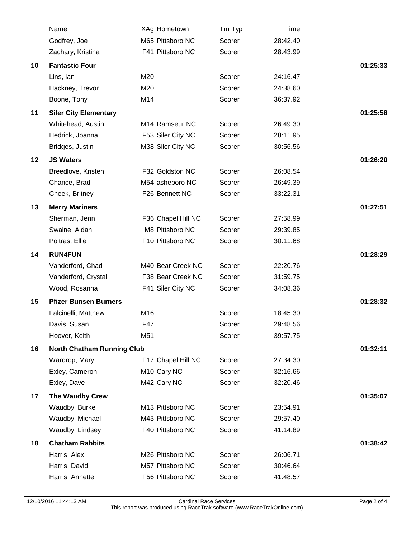|    | Name                              | XAg Hometown               | Tm Typ | Time     |          |
|----|-----------------------------------|----------------------------|--------|----------|----------|
|    | Godfrey, Joe                      | M65 Pittsboro NC           | Scorer | 28:42.40 |          |
|    | Zachary, Kristina                 | F41 Pittsboro NC           | Scorer | 28:43.99 |          |
| 10 | <b>Fantastic Four</b>             |                            |        |          | 01:25:33 |
|    | Lins, Ian                         | M20                        | Scorer | 24:16.47 |          |
|    | Hackney, Trevor                   | M20                        | Scorer | 24:38.60 |          |
|    | Boone, Tony                       | M14                        | Scorer | 36:37.92 |          |
| 11 | <b>Siler City Elementary</b>      |                            |        |          | 01:25:58 |
|    | Whitehead, Austin                 | M <sub>14</sub> Ramseur NC | Scorer | 26:49.30 |          |
|    | Hedrick, Joanna                   | F53 Siler City NC          | Scorer | 28:11.95 |          |
|    | Bridges, Justin                   | M38 Siler City NC          | Scorer | 30:56.56 |          |
| 12 | <b>JS Waters</b>                  |                            |        |          | 01:26:20 |
|    | Breedlove, Kristen                | F32 Goldston NC            | Scorer | 26:08.54 |          |
|    | Chance, Brad                      | M54 asheboro NC            | Scorer | 26:49.39 |          |
|    | Cheek, Britney                    | F26 Bennett NC             | Scorer | 33:22.31 |          |
| 13 | <b>Merry Mariners</b>             |                            |        |          | 01:27:51 |
|    | Sherman, Jenn                     | F36 Chapel Hill NC         | Scorer | 27:58.99 |          |
|    | Swaine, Aidan                     | M8 Pittsboro NC            | Scorer | 29:39.85 |          |
|    | Poitras, Ellie                    | F10 Pittsboro NC           | Scorer | 30:11.68 |          |
| 14 | <b>RUN4FUN</b>                    |                            |        |          | 01:28:29 |
|    | Vanderford, Chad                  | M40 Bear Creek NC          | Scorer | 22:20.76 |          |
|    | Vanderford, Crystal               | F38 Bear Creek NC          | Scorer | 31:59.75 |          |
|    | Wood, Rosanna                     | F41 Siler City NC          | Scorer | 34:08.36 |          |
| 15 | <b>Pfizer Bunsen Burners</b>      |                            |        |          | 01:28:32 |
|    | Falcinelli, Matthew               | M16                        | Scorer | 18:45.30 |          |
|    | Davis, Susan                      | F47                        | Scorer | 29:48.56 |          |
|    | Hoover, Keith                     | M51                        | Scorer | 39:57.75 |          |
| 16 | <b>North Chatham Running Club</b> |                            |        |          | 01:32:11 |
|    | Wardrop, Mary                     | F17 Chapel Hill NC         | Scorer | 27:34.30 |          |
|    | Exley, Cameron                    | M <sub>10</sub> Cary NC    | Scorer | 32:16.66 |          |
|    | Exley, Dave                       | M42 Cary NC                | Scorer | 32:20.46 |          |
| 17 | The Waudby Crew                   |                            |        |          | 01:35:07 |
|    | Waudby, Burke                     | M13 Pittsboro NC           | Scorer | 23:54.91 |          |
|    | Waudby, Michael                   | M43 Pittsboro NC           | Scorer | 29:57.40 |          |
|    | Waudby, Lindsey                   | F40 Pittsboro NC           | Scorer | 41:14.89 |          |
| 18 | <b>Chatham Rabbits</b>            |                            |        |          | 01:38:42 |
|    | Harris, Alex                      | M26 Pittsboro NC           | Scorer | 26:06.71 |          |
|    | Harris, David                     | M57 Pittsboro NC           | Scorer | 30:46.64 |          |
|    | Harris, Annette                   | F56 Pittsboro NC           | Scorer | 41:48.57 |          |
|    |                                   |                            |        |          |          |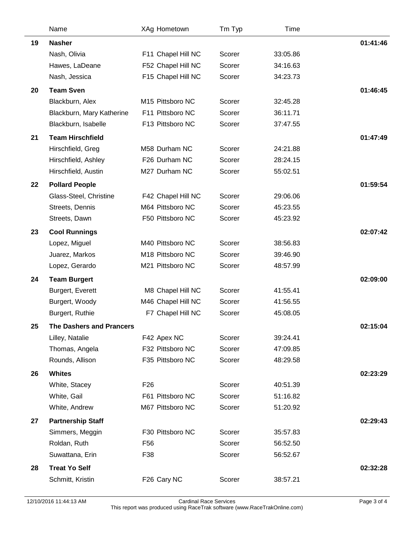|    | Name                            | XAg Hometown       | Tm Typ | Time     |          |
|----|---------------------------------|--------------------|--------|----------|----------|
| 19 | <b>Nasher</b>                   |                    |        |          | 01:41:46 |
|    | Nash, Olivia                    | F11 Chapel Hill NC | Scorer | 33:05.86 |          |
|    | Hawes, LaDeane                  | F52 Chapel Hill NC | Scorer | 34:16.63 |          |
|    | Nash, Jessica                   | F15 Chapel Hill NC | Scorer | 34:23.73 |          |
| 20 | <b>Team Sven</b>                |                    |        |          | 01:46:45 |
|    | Blackburn, Alex                 | M15 Pittsboro NC   | Scorer | 32:45.28 |          |
|    | Blackburn, Mary Katherine       | F11 Pittsboro NC   | Scorer | 36:11.71 |          |
|    | Blackburn, Isabelle             | F13 Pittsboro NC   | Scorer | 37:47.55 |          |
| 21 | <b>Team Hirschfield</b>         | 01:47:49           |        |          |          |
|    | Hirschfield, Greg               | M58 Durham NC      | Scorer | 24:21.88 |          |
|    | Hirschfield, Ashley             | F26 Durham NC      | Scorer | 28:24.15 |          |
|    | Hirschfield, Austin             | M27 Durham NC      | Scorer | 55:02.51 |          |
| 22 | <b>Pollard People</b>           |                    |        |          | 01:59:54 |
|    | Glass-Steel, Christine          | F42 Chapel Hill NC | Scorer | 29:06.06 |          |
|    | Streets, Dennis                 | M64 Pittsboro NC   | Scorer | 45:23.55 |          |
|    | Streets, Dawn                   | F50 Pittsboro NC   | Scorer | 45:23.92 |          |
| 23 | <b>Cool Runnings</b>            |                    |        |          | 02:07:42 |
|    | Lopez, Miguel                   | M40 Pittsboro NC   | Scorer | 38:56.83 |          |
|    | Juarez, Markos                  | M18 Pittsboro NC   | Scorer | 39:46.90 |          |
|    | Lopez, Gerardo                  | M21 Pittsboro NC   | Scorer | 48:57.99 |          |
| 24 | <b>Team Burgert</b>             |                    |        |          | 02:09:00 |
|    | Burgert, Everett                | M8 Chapel Hill NC  | Scorer | 41:55.41 |          |
|    | Burgert, Woody                  | M46 Chapel Hill NC | Scorer | 41:56.55 |          |
|    | Burgert, Ruthie                 | F7 Chapel Hill NC  | Scorer | 45:08.05 |          |
| 25 | <b>The Dashers and Prancers</b> | 02:15:04           |        |          |          |
|    | Lilley, Natalie                 | F42 Apex NC        | Scorer | 39:24.41 |          |
|    | Thomas, Angela                  | F32 Pittsboro NC   | Scorer | 47:09.85 |          |
|    | Rounds, Allison                 | F35 Pittsboro NC   | Scorer | 48:29.58 |          |
| 26 | <b>Whites</b>                   |                    |        |          | 02:23:29 |
|    | White, Stacey                   | F <sub>26</sub>    | Scorer | 40:51.39 |          |
|    | White, Gail                     | F61 Pittsboro NC   | Scorer | 51:16.82 |          |
|    | White, Andrew                   | M67 Pittsboro NC   | Scorer | 51:20.92 |          |
| 27 | <b>Partnership Staff</b>        |                    |        |          | 02:29:43 |
|    | Simmers, Meggin                 | F30 Pittsboro NC   | Scorer | 35:57.83 |          |
|    | Roldan, Ruth                    | F <sub>56</sub>    | Scorer | 56:52.50 |          |
|    | Suwattana, Erin                 | F38                | Scorer | 56:52.67 |          |
| 28 | <b>Treat Yo Self</b>            |                    |        |          | 02:32:28 |
|    | Schmitt, Kristin                | F26 Cary NC        | Scorer | 38:57.21 |          |
|    |                                 |                    |        |          |          |